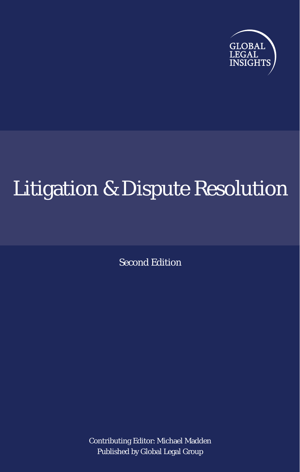

# Litigation & Dispute Resolution

Second Edition

Contributing Editor: Michael Madden Published by Global Legal Group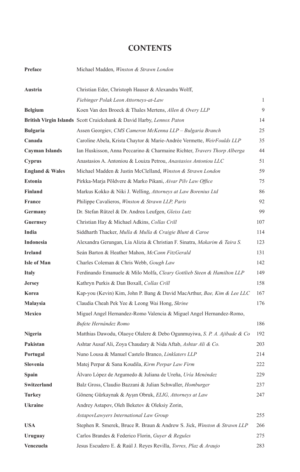### **CONTENTS**

| Preface | Michael Madden, Winston & Strawn London |  |  |  |  |
|---------|-----------------------------------------|--|--|--|--|
|---------|-----------------------------------------|--|--|--|--|

| Austria                    | Christian Eder, Christoph Hauser & Alexandra Wolff,                                 |     |
|----------------------------|-------------------------------------------------------------------------------------|-----|
|                            | Fiebinger Polak Leon Attorneys-at-Law                                               | 1   |
| <b>Belgium</b>             | Koen Van den Broeck & Thales Mertens, Allen & Overy LLP                             | 9   |
|                            | British Virgin Islands Scott Cruickshank & David Harby, Lennox Paton                | 14  |
| <b>Bulgaria</b>            | Assen Georgiev, CMS Cameron McKenna LLP - Bulgaria Branch                           | 25  |
| Canada                     | Caroline Abela, Krista Chaytor & Marie-Andrée Vermette, WeirFoulds LLP              | 35  |
| <b>Cayman Islands</b>      | Ian Huskisson, Anna Peccarino & Charmaine Richter, Travers Thorp Alberga            | 44  |
| <b>Cyprus</b>              | Anastasios A. Antoniou & Louiza Petrou, Anastasios Antoniou LLC                     | 51  |
| <b>England &amp; Wales</b> | Michael Madden & Justin McClelland, Winston & Strawn London                         | 59  |
| <b>Estonia</b>             | Pirkka-Marja Põldvere & Marko Pikani, Aivar Pilv Law Office                         | 75  |
| <b>Finland</b>             | Markus Kokko & Niki J. Welling, Attorneys at Law Borenius Ltd                       | 86  |
| <b>France</b>              | Philippe Cavalieros, Winston & Strawn LLP, Paris                                    | 92  |
| Germany                    | Dr. Stefan Rützel & Dr. Andrea Leufgen, Gleiss Lutz                                 | 99  |
| <b>Guernsey</b>            | Christian Hay & Michael Adkins, Collas Crill                                        | 107 |
| India                      | Siddharth Thacker, Mulla & Mulla & Craigie Blunt & Caroe                            | 114 |
| Indonesia                  | Alexandra Gerungan, Lia Alizia & Christian F. Sinatra, Makarim & Taira S.           | 123 |
| <b>Ireland</b>             | Seán Barton & Heather Mahon, McCann FitzGerald                                      | 131 |
| <b>Isle of Man</b>         | Charles Coleman & Chris Webb, Gough Law                                             | 142 |
| <b>Italy</b>               | Ferdinando Emanuele & Milo Molfa, Cleary Gottlieb Steen & Hamilton LLP              | 149 |
| <b>Jersey</b>              | Kathryn Purkis & Dan Boxall, Collas Crill                                           | 158 |
| Korea                      | Kap-you (Kevin) Kim, John P. Bang & David MacArthur, Bae, Kim & Lee LLC             | 167 |
| Malaysia                   | Claudia Cheah Pek Yee & Leong Wai Hong, Skrine                                      | 176 |
| Mexico                     | Miguel Angel Hernandez-Romo Valencia & Miguel Angel Hernandez-Romo,                 |     |
|                            | Bufete Hernández Romo                                                               | 186 |
| Nigeria                    | Matthias Dawodu, Olaoye Olalere & Debo Ogunmuyiwa, S. P. A. Ajibade & Co            | 192 |
| Pakistan                   | Ashtar Ausaf Ali, Zoya Chaudary & Nida Aftab, Ashtar Ali & Co.                      | 203 |
| Portugal                   | Nuno Lousa & Manuel Castelo Branco, Linklaters LLP                                  | 214 |
| <b>Slovenia</b>            | Matej Perpar & Sana Koudila, Kirm Perpar Law Firm                                   | 222 |
| Spain                      | Álvaro López de Argumedo & Juliana de Ureña, Uría Menéndez                          | 229 |
| Switzerland                | Balz Gross, Claudio Bazzani & Julian Schwaller, Homburger                           | 237 |
| <b>Turkey</b>              | Gönenc Gürkaynak & Aysın Obruk, ELIG, Attorneys at Law                              | 247 |
| <b>Ukraine</b>             | Andrey Astapov, Oleh Beketov & Oleksiy Zorin,                                       |     |
|                            | AstapovLawyers International Law Group                                              | 255 |
| <b>USA</b>                 | Stephen R. Smerek, Bruce R. Braun & Andrew S. Jick, <i>Winston &amp; Strawn LLP</i> | 266 |
| Uruguay                    | Carlos Brandes & Federico Florin, Guyer & Regules                                   | 275 |
| Venezuela                  | Jesus Escudero E. & Raúl J. Reyes Revilla, Torres, Plaz & Araujo                    | 283 |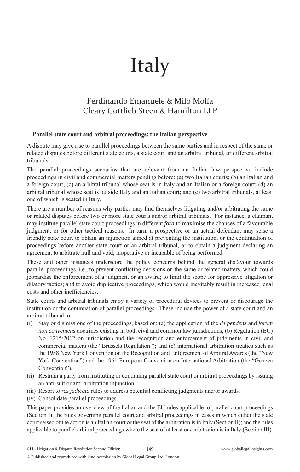# Italy

## Ferdinando Emanuele & Milo Molfa Cleary Gottlieb Steen & Hamilton LLP

#### **Parallel state court and arbitral proceedings: the Italian perspective**

A dispute may give rise to parallel proceedings between the same parties and in respect of the same or related disputes before different state courts, a state court and an arbitral tribunal, or different arbitral tribunals.

The parallel proceedings scenarios that are relevant from an Italian law perspective include proceedings in civil and commercial matters pending before: (a) two Italian courts; (b) an Italian and a foreign court; (c) an arbitral tribunal whose seat is in Italy and an Italian or a foreign court; (d) an arbitral tribunal whose seat is outside Italy and an Italian court; and (e) two arbitral tribunals, at least one of which is seated in Italy.

There are a number of reasons why parties may find themselves litigating and/or arbitrating the same or related disputes before two or more state courts and/or arbitral tribunals. For instance, a claimant may institute parallel state court proceedings in different *fora* to maximise the chances of a favourable judgment, or for other tactical reasons. In turn, a prospective or an actual defendant may seise a friendly state court to obtain an injunction aimed at preventing the institution, or the continuation of proceedings before another state court or an arbitral tribunal, or to obtain a judgment declaring an agreement to arbitrate null and void, inoperative or incapable of being performed.

These and other instances underscore the policy concerns behind the general disfavour towards parallel proceedings, i.e., to prevent conflicting decisions on the same or related matters, which could jeopardise the enforcement of a judgment or an award; to limit the scope for oppressive litigation or dilatory tactics; and to avoid duplicative proceedings, which would inevitably result in increased legal costs and other inefficiencies.

State courts and arbitral tribunals enjoy a variety of procedural devices to prevent or discourage the institution or the continuation of parallel proceedings. These include the power of a state court and an arbitral tribunal to:

- (i) Stay or dismiss one of the proceedings, based on: (a) the application of the *lis pendens* and *forum non conveniens* doctrines existing in both civil and common law jurisdictions; (b) Regulation (EU) No. 1215/2012 on jurisdiction and the recognition and enforcement of judgments in civil and commercial matters (the "Brussels Regulation"); and (c) international arbitration treaties such as the 1958 New York Convention on the Recognition and Enforcement of Arbitral Awards (the "New York Convention") and the 1961 European Convention on International Arbitration (the "Geneva Convention").
- (ii) Restrain a party from instituting or continuing parallel state court or arbitral proceedings by issuing an anti-suit or anti-arbitration injunction.
- (iii) Resort to *res judicata* rules to address potential conflicting judgments and/or awards.
- (iv) Consolidate parallel proceedings.

This paper provides an overview of the Italian and the EU rules applicable to parallel court proceedings (Section I); the rules governing parallel court and arbitral proceedings in cases in which either the state court seised of the action is an Italian court or the seat of the arbitration is in Italy (Section II); and the rules applicable to parallel arbitral proceedings where the seat of at least one arbitration is in Italy (Section III).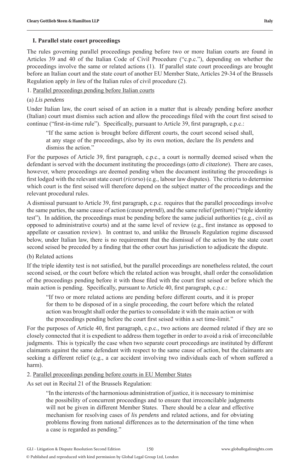### **I. Parallel state court proceedings**

The rules governing parallel proceedings pending before two or more Italian courts are found in Articles 39 and 40 of the Italian Code of Civil Procedure ("c.p.c."), depending on whether the proceedings involve the same or related actions (1). If parallel state court proceedings are brought before an Italian court and the state court of another EU Member State, Articles 29-34 of the Brussels Regulation apply *in lieu* of the Italian rules of civil procedure (2).

### 1. Parallel proceedings pending before Italian courts

### (a) *Lis pendens*

Under Italian law, the court seised of an action in a matter that is already pending before another (Italian) court must dismiss such action and allow the proceedings filed with the court first seised to continue ("first-in-time rule"). Specifically, pursuant to Article 39, first paragraph, c.p.c.:

"If the same action is brought before different courts, the court second seised shall, at any stage of the proceedings, also by its own motion, declare the *lis pendens* and dismiss the action."

For the purposes of Article 39, first paragraph, c.p.c., a court is normally deemed seised when the defendant is served with the document instituting the proceedings (*atto di citazione*). There are cases, however, where proceedings are deemed pending when the document instituting the proceedings is first lodged with the relevant state court (*ricorso*) (e.g., labour law disputes). The criteria to determine which court is the first seised will therefore depend on the subject matter of the proceedings and the relevant procedural rules.

A dismissal pursuant to Article 39, first paragraph, c.p.c. requires that the parallel proceedings involve the same parties, the same cause of action (*causa petendi*), and the same relief (*petitum*) ("triple identity test"). In addition, the proceedings must be pending before the same judicial authorities (e.g., civil as opposed to administrative courts) and at the same level of review  $(e.g.,$  first instance as opposed to appellate or cassation review). In contrast to, and unlike the Brussels Regulation regime discussed below, under Italian law, there is no requirement that the dismissal of the action by the state court second seised be preceded by a finding that the other court has jurisdiction to adjudicate the dispute.

### (b) Related actions

If the triple identity test is not satisfied, but the parallel proceedings are nonetheless related, the court second seised, or the court before which the related action was brought, shall order the consolidation of the proceedings pending before it with those filed with the court first seised or before which the main action is pending. Specifically, pursuant to Article 40, first paragraph, c.p.c.:

"If two or more related actions are pending before different courts, and it is proper for them to be disposed of in a single proceeding, the court before which the related action was brought shall order the parties to consolidate it with the main action or with the proceedings pending before the court first seised within a set time-limit."

For the purposes of Article 40, first paragraph, c.p.c., two actions are deemed related if they are so closely connected that it is expedient to address them together in order to avoid a risk of irreconcilable judgments. This is typically the case when two separate court proceedings are instituted by different claimants against the same defendant with respect to the same cause of action, but the claimants are seeking a different relief (e.g., a car accident involving two individuals each of whom suffered a harm).

### 2. Parallel proceedings pending before courts in EU Member States

As set out in Recital 21 of the Brussels Regulation:

"In the interests of the harmonious administration of justice, it is necessary to minimise the possibility of concurrent proceedings and to ensure that irreconcilable judgments will not be given in different Member States. There should be a clear and effective mechanism for resolving cases of *lis pendens* and related actions, and for obviating problems flowing from national differences as to the determination of the time when a case is regarded as pending."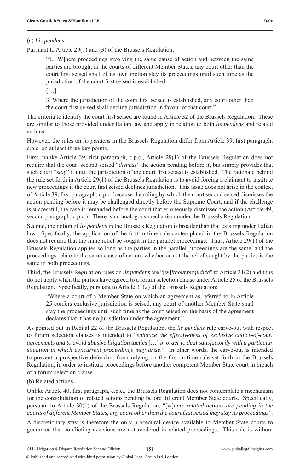#### (a) *Lis pendens*

Pursuant to Article 29(1) and (3) of the Brussels Regulation:

"1. [W]here proceedings involving the same cause of action and between the same parties are brought in the courts of different Member States, any court other than the court first seised shall of its own motion stay its proceedings until such time as the jurisdiction of the court first seised is established.

[…]

3. Where the jurisdiction of the court first seised is established, any court other than the court first seised shall decline jurisdiction in favour of that court."

The criteria to identify the court first seised are found in Article 32 of the Brussels Regulation. These are similar to those provided under Italian law and apply in relation to both *lis pendens* and related actions.

However, the rules on *lis pendens* in the Brussels Regulation differ from Article 39, first paragraph, c.p.c. on at least three key points.

First, unlike Article 39, first paragraph, c.p.c., Article 29(1) of the Brussels Regulation does not require that the court second seised "*dismiss*" the action pending before it, but simply provides that such court "*stay*" it until the jurisdiction of the court first seised is established. The rationale behind the rule set forth in Article 29(1) of the Brussels Regulation is to avoid forcing a claimant to institute new proceedings if the court first seised declines jurisdiction. This issue does not arise in the context of Article 39, first paragraph, c.p.c. because the ruling by which the court second seised dismisses the action pending before it may be challenged directly before the Supreme Court, and if the challenge is successful, the case is remanded before the court that erroneously dismissed the action (Article 49, second paragraph, c.p.c.). There is no analogous mechanism under the Brussels Regulation.

Second, the notion of *lis pendens* in the Brussels Regulation is broader than that existing under Italian law. Specifically, the application of the first-in-time rule contemplated in the Brussels Regulation does not require that the same relief be sought in the parallel proceedings. Thus, Article 29(1) of the Brussels Regulation applies so long as the parties in the parallel proceedings are the same, and the proceedings relate to the same cause of action, whether or not the relief sought by the parties is the same in both proceedings.

Third, the Brussels Regulation rules on *lis pendens* are "[w]*ithout prejudice*" to Article 31(2) and thus do not apply when the parties have agreed to a forum selection clause under Article 25 of the Brussels Regulation. Specifically, pursuant to Article  $31(2)$  of the Brussels Regulation:

"Where a court of a Member State on which an agreement as referred to in Article 25 confers exclusive jurisdiction is seised, any court of another Member State shall stay the proceedings until such time as the court seised on the basis of the agreement declares that it has no jurisdiction under the agreement."

As pointed out in Recital 22 of the Brussels Regulation, the *lis pendens* rule carve-out with respect to forum selection clauses is intended to "*enhance the effectiveness of exclusive choice-of-court agreements and to avoid abusive litigation tactics* […] *in order to deal satisfactorily with a particular situation in which concurrent proceedings may arise*." In other words, the carve-out is intended to prevent a prospective defendant from relying on the first-in-time rule set forth in the Brussels Regulation, in order to institute proceedings before another competent Member State court in breach of a forum selection clause.

### (b) Related actions

Unlike Article 40, first paragraph, c.p.c., the Brussels Regulation does not contemplate a mechanism for the consolidation of related actions pending before different Member State courts. Specifically, pursuant to Article 30(1) of the Brussels Regulation, "[w]*here related actions are pending in the courts of different Member States, any court other than the court fi rst seised may stay its proceedings*".

A discretionary stay is therefore the only procedural device available to Member State courts to guarantee that conflicting decisions are not rendered in related proceedings. This rule is without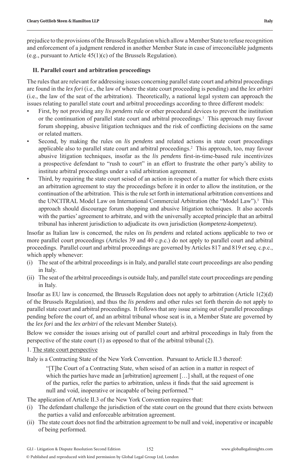prejudice to the provisions of the Brussels Regulation which allow a Member State to refuse recognition and enforcement of a judgment rendered in another Member State in case of irreconcilable judgments (e.g., pursuant to Article 45(1)(c) of the Brussels Regulation).

#### **II. Parallel court and arbitration proceedings**

The rules that are relevant for addressing issues concerning parallel state court and arbitral proceedings are found in the *lex fori* (i.e., the law of where the state court proceeding is pending) and the *lex arbitri*  (i.e., the law of the seat of the arbitration). Theoretically, a national legal system can approach the issues relating to parallel state court and arbitral proceedings according to three different models:

- First, by not providing any *lis pendens* rule or other procedural devices to prevent the institution or the continuation of parallel state court and arbitral proceedings.<sup>1</sup> This approach may favour forum shopping, abusive litigation techniques and the risk of conflicting decisions on the same or related matters.
- Second, by making the rules on *lis pendens* and related actions in state court proceedings applicable also to parallel state court and arbitral proceedings.2 This approach, too, may favour abusive litigation techniques, insofar as the *lis pendens* first-in-time-based rule incentivizes a prospective defendant to "rush to court" in an effort to frustrate the other party's ability to institute arbitral proceedings under a valid arbitration agreement.
- Third, by requiring the state court seised of an action in respect of a matter for which there exists an arbitration agreement to stay the proceedings before it in order to allow the institution, or the continuation of the arbitration. This is the rule set forth in international arbitration conventions and the UNCITRAL Model Law on International Commercial Arbitration (the "Model Law").<sup>3</sup> This approach should discourage forum shopping and abusive litigation techniques. It also accords with the parties' agreement to arbitrate, and with the universally accepted principle that an arbitral tribunal has inherent jurisdiction to adjudicate its own jurisdiction (*kompetenz-kompetenz*).

Insofar as Italian law is concerned, the rules on *lis pendens* and related actions applicable to two or more parallel court proceedings (Articles 39 and 40 c.p.c.) do not apply to parallel court and arbitral proceedings. Parallel court and arbitral proceedings are governed by Articles 817 and 819 *et seq*. c.p.c., which apply whenever:

- (i) The seat of the arbitral proceedings is in Italy, and parallel state court proceedings are also pending in Italy.
- (ii) The seat of the arbitral proceedings is outside Italy, and parallel state court proceedings are pending in Italy.

Insofar as EU law is concerned, the Brussels Regulation does not apply to arbitration (Article 1(2)(d) of the Brussels Regulation), and thus the *lis pendens* and other rules set forth therein do not apply to parallel state court and arbitral proceedings. It follows that any issue arising out of parallel proceedings pending before the court of, and an arbitral tribunal whose seat is in, a Member State are governed by the *lex fori* and the *lex arbitri* of the relevant Member State(s).

Below we consider the issues arising out of parallel court and arbitral proceedings in Italy from the perspective of the state court (1) as opposed to that of the arbitral tribunal (2).

#### 1. The state court perspective

Italy is a Contracting State of the New York Convention. Pursuant to Article II.3 thereof:

"[T]he Court of a Contracting State, when seised of an action in a matter in respect of which the parties have made an [arbitration] agreement  $[...]$  shall, at the request of one of the parties, refer the parties to arbitration, unless it finds that the said agreement is null and void, inoperative or incapable of being performed."4

The application of Article II.3 of the New York Convention requires that:

- (i) The defendant challenge the jurisdiction of the state court on the ground that there exists between the parties a valid and enforceable arbitration agreement.
- (ii) The state court does not find the arbitration agreement to be null and void, inoperative or incapable of being performed.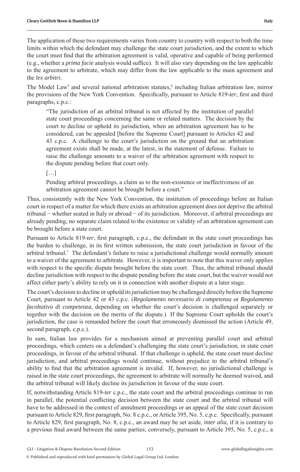The application of these two requirements varies from country to country with respect to both the time limits within which the defendant may challenge the state court jurisdiction, and the extent to which the court must find that the arbitration agreement is valid, operative and capable of being performed (e.g., whether a *prima facie* analysis would suffice). It will also vary depending on the law applicable to the agreement to arbitrate, which may differ from the law applicable to the main agreement and the *lex arbitri*.

The Model Law<sup>5</sup> and several national arbitration statutes,<sup>6</sup> including Italian arbitration law, mirror the provisions of the New York Convention. Specifically, pursuant to Article 819-*ter*, first and third paragraphs, c.p.c.:

"The jurisdiction of an arbitral tribunal is not affected by the institution of parallel state court proceedings concerning the same or related matters. The decision by the court to decline or uphold its jurisdiction, when an arbitration agreement has to be considered, can be appealed [before the Supreme Court] pursuant to Articles 42 and 43 c.p.c. A challenge to the court's jurisdiction on the ground that an arbitration agreement exists shall be made, at the latest, in the statement of defense. Failure to raise the challenge amounts to a waiver of the arbitration agreement with respect to the dispute pending before that court only.

[…]

Pending arbitral proceedings, a claim as to the non-existence or ineffectiveness of an arbitration agreement cannot be brought before a court."

Thus, consistently with the New York Convention, the institution of proceedings before an Italian court in respect of a matter for which there exists an arbitration agreement does not deprive the arbitral tribunal − whether seated in Italy or abroad − of its jurisdiction. Moreover, if arbitral proceedings are already pending, no separate claim related to the existence or validity of an arbitration agreement can be brought before a state court.

Pursuant to Article 819-ter, first paragraph, c.p.c., the defendant in the state court proceedings has the burden to challenge, in its first written submission, the state court jurisdiction in favour of the arbitral tribunal.7 The defendant's failure to raise a jurisdictional challenge would normally amount to a waiver of the agreement to arbitrate. However, it is important to note that this waiver only applies with respect to the specific dispute brought before the state court. Thus, the arbitral tribunal should decline jurisdiction with respect to the dispute pending before the state court, but the waiver would not affect either party's ability to rely on it in connection with another dispute at a later stage.

The court's decision to decline or uphold its jurisdiction may be challenged directly before the Supreme Court, pursuant to Article 42 or 43 c.p.c. (*Regolamento necessario di competenza* or *Regolamento facoltativo di competenza*, depending on whether the court's decision is challenged separately or together with the decision on the merits of the dispute.) If the Supreme Court upholds the court's jurisdiction, the case is remanded before the court that erroneously dismissed the action (Article 49, second paragraph, c.p.c.).

In sum, Italian law provides for a mechanism aimed at preventing parallel court and arbitral proceedings, which centers on a defendant's challenging the state court's jurisdiction, in state court proceedings, in favour of the arbitral tribunal. If that challenge is upheld, the state court must decline jurisdiction, and arbitral proceedings would continue, without prejudice to the arbitral tribunal's ability to find that the arbitration agreement is invalid. If, however, no jurisdictional challenge is raised in the state court proceedings, the agreement to arbitrate will normally be deemed waived, and the arbitral tribunal will likely decline its jurisdiction in favour of the state court.

If, notwithstanding Article 819-*ter* c.p.c., the state court and the arbitral proceedings continue to run in parallel, the potential conflicting decision between the state court and the arbitral tribunal will have to be addressed in the context of annulment proceedings or an appeal of the state court decision pursuant to Article 829, first paragraph, No. 8 c.p.c., or Article 395, No. 5, c.p.c. Specifically, pursuant to Article 829, first paragraph, No. 8, c.p.c., an award may be set aside, *inter alia*, if it is contrary to a previous final award between the same parties; conversely, pursuant to Article 395, No. 5, c.p.c., a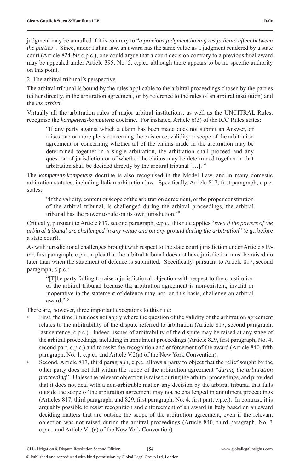judgment may be annulled if it is contrary to "*a previous judgment having res judicata effect between the parties*". Since, under Italian law, an award has the same value as a judgment rendered by a state court (Article 824-bis c.p.c.), one could argue that a court decision contrary to a previous final award may be appealed under Article 395, No. 5, c.p.c., although there appears to be no specific authority on this point.

#### 2. The arbitral tribunal's perspective

The arbitral tribunal is bound by the rules applicable to the arbitral proceedings chosen by the parties (either directly, in the arbitration agreement, or by reference to the rules of an arbitral institution) and the *lex arbitri*.

Virtually all the arbitration rules of major arbitral institutions, as well as the UNCITRAL Rules, recognise the *kompetenz-kompetenz* doctrine. For instance, Article 6(3) of the ICC Rules states:

"If any party against which a claim has been made does not submit an Answer, or raises one or more pleas concerning the existence, validity or scope of the arbitration agreement or concerning whether all of the claims made in the arbitration may be determined together in a single arbitration, the arbitration shall proceed and any question of jurisdiction or of whether the claims may be determined together in that arbitration shall be decided directly by the arbitral tribunal […]."8

The *kompetenz-kompetenz* doctrine is also recognised in the Model Law, and in many domestic arbitration statutes, including Italian arbitration law. Specifically, Article 817, first paragraph, c.p.c. states:

"If the validity, content or scope of the arbitration agreement, or the proper constitution of the arbitral tribunal, is challenged during the arbitral proceedings, the arbitral tribunal has the power to rule on its own jurisdiction."9

Critically, pursuant to Article 817, second paragraph, c.p.c., this rule applies "*even if the powers of the arbitral tribunal are challenged in any venue and on any ground during the arbitration*" (e.g., before a state court).

As with jurisdictional challenges brought with respect to the state court jurisdiction under Article 819 *ter*, first paragraph, c.p.c., a plea that the arbitral tribunal does not have jurisdiction must be raised no later than when the statement of defence is submitted. Specifically, pursuant to Article 817, second paragraph, c.p.c.:

"[T]he party failing to raise a jurisdictional objection with respect to the constitution of the arbitral tribunal because the arbitration agreement is non-existent, invalid or inoperative in the statement of defence may not, on this basis, challenge an arbitral award<sup>"10</sup>

There are, however, three important exceptions to this rule:

- First, the time limit does not apply where the question of the validity of the arbitration agreement relates to the arbitrability of the dispute referred to arbitration (Article 817, second paragraph, last sentence, c.p.c.). Indeed, issues of arbitrability of the dispute may be raised at any stage of the arbitral proceedings, including in annulment proceedings (Article 829, first paragraph, No. 4, second part, c.p.c.) and to resist the recognition and enforcement of the award (Article 840, fifth paragraph, No. 1, c.p.c., and Article V.2(a) of the New York Convention).
- Second, Article 817, third paragraph, c.p.c. allows a party to object that the relief sought by the other party does not fall within the scope of the arbitration agreement "*during the arbitration proceeding*". Unless the relevant objection is raised during the arbitral proceedings, and provided that it does not deal with a non-arbitrable matter, any decision by the arbitral tribunal that falls outside the scope of the arbitration agreement may not be challenged in annulment proceedings (Articles 817, third paragraph, and 829, first paragraph, No. 4, first part, c.p.c.). In contrast, it is arguably possible to resist recognition and enforcement of an award in Italy based on an award deciding matters that are outside the scope of the arbitration agreement, even if the relevant objection was not raised during the arbitral proceedings (Article 840, third paragraph, No. 3 c.p.c., and Article V.1(c) of the New York Convention).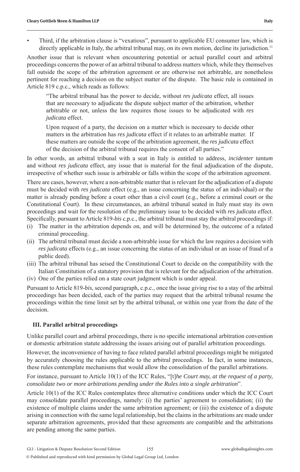• Third, if the arbitration clause is "vexatious", pursuant to applicable EU consumer law, which is directly applicable in Italy, the arbitral tribunal may, on its own motion, decline its jurisdiction.<sup>11</sup>

Another issue that is relevant when encountering potential or actual parallel court and arbitral proceedings concerns the power of an arbitral tribunal to address matters which, while they themselves fall outside the scope of the arbitration agreement or are otherwise not arbitrable, are nonetheless pertinent for reaching a decision on the subject matter of the dispute. The basic rule is contained in Article 819 c.p.c., which reads as follows:

"The arbitral tribunal has the power to decide, without *res judicata* effect, all issues that are necessary to adjudicate the dispute subject matter of the arbitration, whether arbitrable or not, unless the law requires those issues to be adjudicated with *res judicata* effect.

Upon request of a party, the decision on a matter which is necessary to decide other matters in the arbitration has *res judicata* effect if it relates to an arbitrable matter. If these matters are outside the scope of the arbitration agreement, the *res judicata* effect of the decision of the arbitral tribunal requires the consent of all parties."

In other words, an arbitral tribunal with a seat in Italy is entitled to address, *incidenter tantum*  and without *res judicata* effect, any issue that is material for the final adjudication of the dispute, irrespective of whether such issue is arbitrable or falls within the scope of the arbitration agreement.

There are cases, however, where a non-arbitrable matter that is relevant for the adjudication of a dispute must be decided with *res judicata* effect (e.g., an issue concerning the status of an individual) or the matter is already pending before a court other than a civil court (e.g., before a criminal court or the Constitutional Court). In these circumstances, an arbitral tribunal seated in Italy must stay its own proceedings and wait for the resolution of the preliminary issue to be decided with *res judicata* effect. Specifically, pursuant to Article 819-*bis* c.p.c., the arbitral tribunal must stay the arbitral proceedings if:

- (i) The matter in the arbitration depends on, and will be determined by, the outcome of a related criminal proceeding.
- (ii) The arbitral tribunal must decide a non-arbitrable issue for which the law requires a decision with *res judicata* effects (e.g., an issue concerning the status of an individual or an issue of fraud of a public deed).
- (iii) The arbitral tribunal has seised the Constitutional Court to decide on the compatibility with the Italian Constitution of a statutory provision that is relevant for the adjudication of the arbitration.
- (iv) One of the parties relied on a state court judgment which is under appeal.

Pursuant to Article 819-*bis*, second paragraph, c.p.c., once the issue giving rise to a stay of the arbitral proceedings has been decided, each of the parties may request that the arbitral tribunal resume the proceedings within the time limit set by the arbitral tribunal, or within one year from the date of the decision.

#### **III. Parallel arbitral proceedings**

Unlike parallel court and arbitral proceedings, there is no specific international arbitration convention or domestic arbitration statute addressing the issues arising out of parallel arbitration proceedings.

However, the inconvenience of having to face related parallel arbitral proceedings might be mitigated by accurately choosing the rules applicable to the arbitral proceedings. In fact, in some instances, these rules contemplate mechanisms that would allow the consolidation of the parallel arbitrations.

For instance, pursuant to Article 10(1) of the ICC Rules, "[t]*he Court may, at the request of a party, consolidate two or more arbitrations pending under the Rules into a single arbitration*".

Article 10(1) of the ICC Rules contemplates three alternative conditions under which the ICC Court may consolidate parallel proceedings, namely: (i) the parties' agreement to consolidation; (ii) the existence of multiple claims under the same arbitration agreement; or (iii) the existence of a dispute arising in connection with the same legal relationship, but the claims in the arbitrations are made under separate arbitration agreements, provided that these agreements are compatible and the arbitrations are pending among the same parties.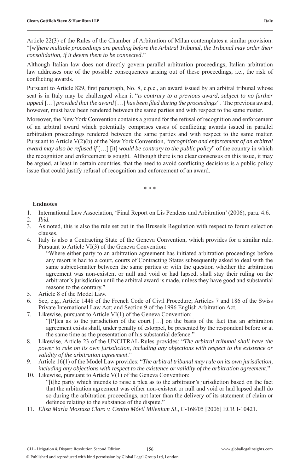Article 22(3) of the Rules of the Chamber of Arbitration of Milan contemplates a similar provision: "[w]*here multiple proceedings are pending before the Arbitral Tribunal, the Tribunal may order their consolidation, if it deems them to be connected*."

Although Italian law does not directly govern parallel arbitration proceedings, Italian arbitration law addresses one of the possible consequences arising out of these proceedings, i.e., the risk of conflicting awards.

Pursuant to Article 829, first paragraph, No. 8, c.p.c., an award issued by an arbitral tribunal whose seat is in Italy may be challenged when it "*is contrary to a previous award, subject to no further appeal* […] *provided that the award* […] *has been fi led during the proceedings*". The previous award, however, must have been rendered between the same parties and with respect to the same matter.

Moreover, the New York Convention contains a ground for the refusal of recognition and enforcement of an arbitral award which potentially comprises cases of conflicting awards issued in parallel arbitration proceedings rendered between the same parties and with respect to the same matter. Pursuant to Article V(2)(b) of the New York Convention, "*recognition and enforcement of an arbitral award may also be refused if* […] [it] *would be contrary to the public policy*" of the country in which the recognition and enforcement is sought. Although there is no clear consensus on this issue, it may be argued, at least in certain countries, that the need to avoid conflicting decisions is a public policy issue that could justify refusal of recognition and enforcement of an award.

\* \* \*

#### **Endnotes**

- 1. International Law Association, 'Final Report on Lis Pendens and Arbitration' (2006), para. 4.6.
- 2. *Ibid.*
- 3. As noted, this is also the rule set out in the Brussels Regulation with respect to forum selection clauses.
- 4. Italy is also a Contracting State of the Geneva Convention, which provides for a similar rule. Pursuant to Article VI(3) of the Geneva Convention:

 "Where either party to an arbitration agreement has initiated arbitration proceedings before any resort is had to a court, courts of Contracting States subsequently asked to deal with the same subject-matter between the same parties or with the question whether the arbitration agreement was non-existent or null and void or had lapsed, shall stay their ruling on the arbitrator's jurisdiction until the arbitral award is made, unless they have good and substantial reasons to the contrary."

- 5. Article 8 of the Model Law.
- 6. See, e.g., Article 1448 of the French Code of Civil Procedure; Articles 7 and 186 of the Swiss Private International Law Act; and Section 9 of the 1996 English Arbitration Act.
- 7. Likewise, pursuant to Article VI(1) of the Geneva Convention: "[P]lea as to the jurisdiction of the court […] on the basis of the fact that an arbitration agreement exists shall, under penalty of estoppel, be presented by the respondent before or at the same time as the presentation of his substantial defence."
- 8. Likewise, Article 23 of the UNCITRAL Rules provides: "*The arbitral tribunal shall have the power to rule on its own jurisdiction, including any objections with respect to the existence or validity of the arbitration agreement*."
- 9. Article 16(1) of the Model Law provides: "*The arbitral tribunal may rule on its own jurisdiction, including any objections with respect to the existence or validity of the arbitration agreement*."
- 10. Likewise, pursuant to Article V(1) of the Geneva Convention: "[t]he party which intends to raise a plea as to the arbitrator's jurisdiction based on the fact that the arbitration agreement was either non-existent or null and void or had lapsed shall do so during the arbitration proceedings, not later than the delivery of its statement of claim or defence relating to the substance of the dispute."
- 11. *Elisa María Mostaza Claro v. Centro Móvil Milenium SL*, C-168/05 [2006] ECR I-10421.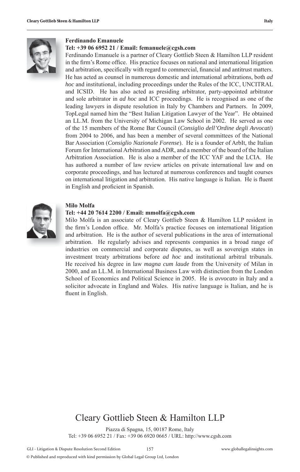

#### **Ferdinando Emanuele**

#### **Tel: +39 06 6952 21 / Email: femanuele@cgsh.com**

Ferdinando Emanuele is a partner of Cleary Gottlieb Steen & Hamilton LLP resident in the firm's Rome office. His practice focuses on national and international litigation and arbitration, specifically with regard to commercial, financial and antitrust matters. He has acted as counsel in numerous domestic and international arbitrations, both *ad hoc* and institutional, including proceedings under the Rules of the ICC, UNCITRAL and ICSID. He has also acted as presiding arbitrator, party-appointed arbitrator and sole arbitrator in *ad hoc* and ICC proceedings. He is recognised as one of the leading lawyers in dispute resolution in Italy by Chambers and Partners. In 2009, TopLegal named him the "Best Italian Litigation Lawyer of the Year". He obtained an LL.M. from the University of Michigan Law School in 2002. He served as one of the 15 members of the Rome Bar Council (*Consiglio dell'Ordine degli Avvocati*) from 2004 to 2006, and has been a member of several committees of the National Bar Association (*Consiglio Nazionale Forense*). He is a founder of ArbIt, the Italian Forum for International Arbitration and ADR, and a member of the board of the Italian Arbitration Association. He is also a member of the ICC YAF and the LCIA. He has authored a number of law review articles on private international law and on corporate proceedings, and has lectured at numerous conferences and taught courses on international litigation and arbitration. His native language is Italian. He is fluent in English and proficient in Spanish.



#### **Milo Molfa**

#### **Tel: +44 20 7614 2200 / Email: mmolfa@cgsh.com**

Milo Molfa is an associate of Cleary Gottlieb Steen & Hamilton LLP resident in the firm's London office. Mr. Molfa's practice focuses on international litigation and arbitration. He is the author of several publications in the area of international arbitration. He regularly advises and represents companies in a broad range of industries on commercial and corporate disputes, as well as sovereign states in investment treaty arbitrations before *ad hoc* and institutional arbitral tribunals. He received his degree in law *magna cum laude* from the University of Milan in 2000, and an LL.M. in International Business Law with distinction from the London School of Economics and Political Science in 2005. He is *avvocato* in Italy and a solicitor advocate in England and Wales. His native language is Italian, and he is fluent in English.

# Cleary Gottlieb Steen & Hamilton LLP

Piazza di Spagna, 15, 00187 Rome, Italy Tel: +39 06 6952 21 / Fax: +39 06 6920 0665 / URL: http://www.cgsh.com